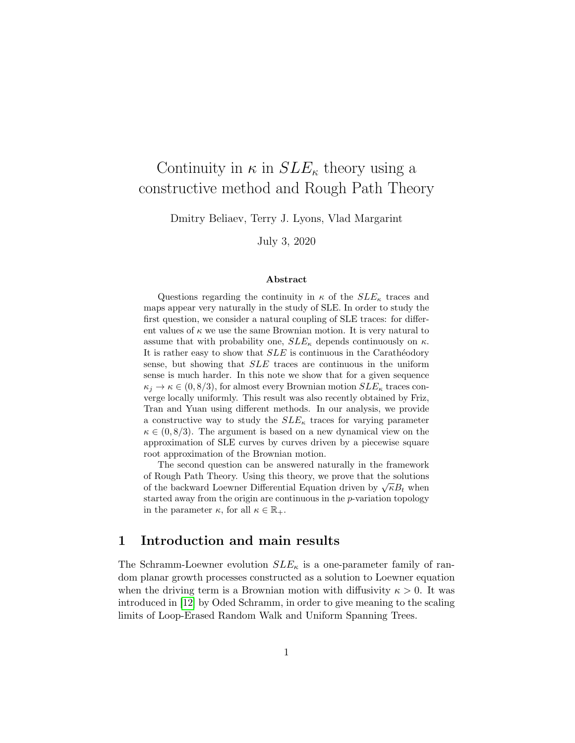# Continuity in  $\kappa$  in  $SLE_{\kappa}$  theory using a constructive method and Rough Path Theory

Dmitry Beliaev, Terry J. Lyons, Vlad Margarint

July 3, 2020

#### Abstract

Questions regarding the continuity in  $\kappa$  of the  $SLE_{\kappa}$  traces and maps appear very naturally in the study of SLE. In order to study the first question, we consider a natural coupling of SLE traces: for different values of  $\kappa$  we use the same Brownian motion. It is very natural to assume that with probability one,  $SLE_{\kappa}$  depends continuously on  $\kappa$ . It is rather easy to show that  $SLE$  is continuous in the Carathéodory sense, but showing that SLE traces are continuous in the uniform sense is much harder. In this note we show that for a given sequence  $\kappa_j \to \kappa \in (0, 8/3)$ , for almost every Brownian motion  $SLE_{\kappa}$  traces converge locally uniformly. This result was also recently obtained by Friz, Tran and Yuan using different methods. In our analysis, we provide a constructive way to study the  $SLE_{\kappa}$  traces for varying parameter  $\kappa \in (0, 8/3)$ . The argument is based on a new dynamical view on the approximation of SLE curves by curves driven by a piecewise square root approximation of the Brownian motion.

The second question can be answered naturally in the framework of Rough Path Theory. Using this theory, we prove that the solutions of the backward Loewner Differential Equation driven by  $\sqrt{\kappa}B_t$  when started away from the origin are continuous in the p-variation topology in the parameter  $\kappa$ , for all  $\kappa \in \mathbb{R}_+$ .

# 1 Introduction and main results

The Schramm-Loewner evolution  $SLE_{\kappa}$  is a one-parameter family of random planar growth processes constructed as a solution to Loewner equation when the driving term is a Brownian motion with diffusivity  $\kappa > 0$ . It was introduced in [\[12\]](#page-21-0) by Oded Schramm, in order to give meaning to the scaling limits of Loop-Erased Random Walk and Uniform Spanning Trees.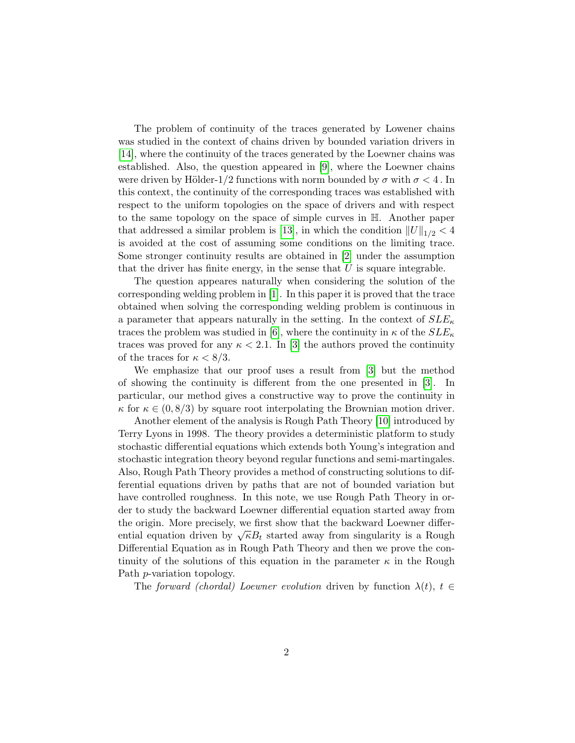The problem of continuity of the traces generated by Lowener chains was studied in the context of chains driven by bounded variation drivers in [\[14\]](#page-21-1), where the continuity of the traces generated by the Loewner chains was established. Also, the question appeared in [\[9\]](#page-20-0), where the Loewner chains were driven by Hölder-1/2 functions with norm bounded by  $\sigma$  with  $\sigma < 4$ . In this context, the continuity of the corresponding traces was established with respect to the uniform topologies on the space of drivers and with respect to the same topology on the space of simple curves in H. Another paper that addressed a similar problem is [\[13\]](#page-21-2), in which the condition  $||U||_{1/2} < 4$ is avoided at the cost of assuming some conditions on the limiting trace. Some stronger continuity results are obtained in [\[2\]](#page-20-1) under the assumption that the driver has finite energy, in the sense that  $\hat{U}$  is square integrable.

The question appeares naturally when considering the solution of the corresponding welding problem in [\[1\]](#page-20-2). In this paper it is proved that the trace obtained when solving the corresponding welding problem is continuous in a parameter that appears naturally in the setting. In the context of  $SLE_{\kappa}$ traces the problem was studied in [\[6\]](#page-20-3), where the continuity in  $\kappa$  of the  $SLE_{\kappa}$ traces was proved for any  $\kappa < 2.1$ . In [\[3\]](#page-20-4) the authors proved the continuity of the traces for  $\kappa < 8/3$ .

We emphasize that our proof uses a result from [\[3\]](#page-20-4) but the method of showing the continuity is different from the one presented in [\[3\]](#page-20-4). In particular, our method gives a constructive way to prove the continuity in  $\kappa$  for  $\kappa \in (0, 8/3)$  by square root interpolating the Brownian motion driver.

Another element of the analysis is Rough Path Theory [\[10\]](#page-21-3) introduced by Terry Lyons in 1998. The theory provides a deterministic platform to study stochastic differential equations which extends both Young's integration and stochastic integration theory beyond regular functions and semi-martingales. Also, Rough Path Theory provides a method of constructing solutions to differential equations driven by paths that are not of bounded variation but have controlled roughness. In this note, we use Rough Path Theory in order to study the backward Loewner differential equation started away from the origin. More precisely, we first show that the backward Loewner differential equation driven by  $\sqrt{\kappa}B_t$  started away from singularity is a Rough Differential Equation as in Rough Path Theory and then we prove the continuity of the solutions of this equation in the parameter  $\kappa$  in the Rough Path p-variation topology.

The forward (chordal) Loewner evolution driven by function  $\lambda(t)$ ,  $t \in$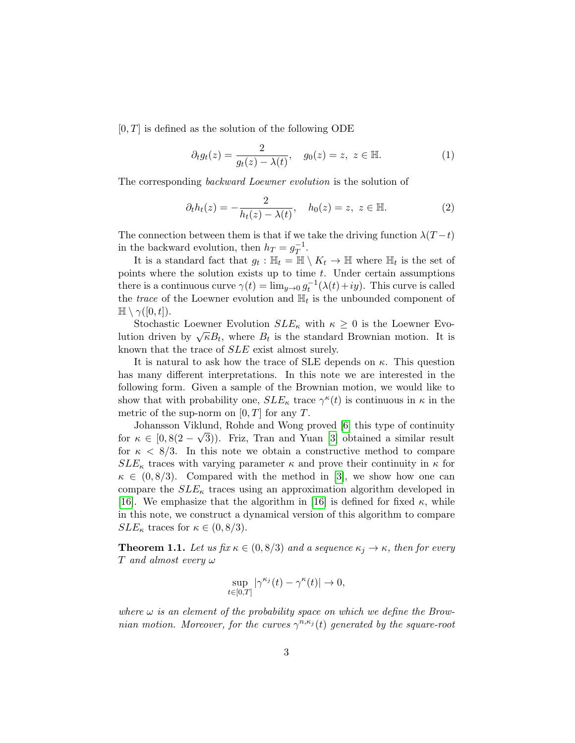$[0, T]$  is defined as the solution of the following ODE

$$
\partial_t g_t(z) = \frac{2}{g_t(z) - \lambda(t)}, \quad g_0(z) = z, \ z \in \mathbb{H}.
$$
 (1)

The corresponding *backward Loewner evolution* is the solution of

<span id="page-2-0"></span>
$$
\partial_t h_t(z) = -\frac{2}{h_t(z) - \lambda(t)}, \quad h_0(z) = z, \ z \in \mathbb{H}.
$$
 (2)

The connection between them is that if we take the driving function  $\lambda(T-t)$ in the backward evolution, then  $h_T = g_T^{-1}$  $T^1$ .

It is a standard fact that  $g_t : \mathbb{H}_t = \mathbb{H} \setminus K_t \to \mathbb{H}$  where  $\mathbb{H}_t$  is the set of points where the solution exists up to time  $t$ . Under certain assumptions there is a continuous curve  $\gamma(t) = \lim_{y \to 0} g_t^{-1}(\lambda(t) + iy)$ . This curve is called the *trace* of the Loewner evolution and  $\mathbb{H}_t$  is the unbounded component of  $\mathbb{H} \setminus \gamma([0,t]).$ 

Stochastic Loewner Evolution  $SLE_{\kappa}$  with  $\kappa \geq 0$  is the Loewner Evo-Lution driven by  $\sqrt{\kappa}B_t$ , where  $B_t$  is the standard Brownian motion. It is known that the trace of SLE exist almost surely.

It is natural to ask how the trace of SLE depends on  $\kappa$ . This question has many different interpretations. In this note we are interested in the following form. Given a sample of the Brownian motion, we would like to show that with probability one,  $SLE_{\kappa}$  trace  $\gamma^{\kappa}(t)$  is continuous in  $\kappa$  in the metric of the sup-norm on  $[0, T]$  for any T.

Johansson Viklund, Rohde and Wong proved [\[6\]](#page-20-3) this type of continuity √ for  $\kappa \in [0, 8(2-\sqrt{3}))$ . Friz, Tran and Yuan [\[3\]](#page-20-4) obtained a similar result for  $\kappa < 8/3$ . In this note we obtain a constructive method to compare  $SLE_{\kappa}$  traces with varying parameter  $\kappa$  and prove their continuity in  $\kappa$  for  $\kappa \in (0, 8/3)$ . Compared with the method in [\[3\]](#page-20-4), we show how one can compare the  $SLE_{\kappa}$  traces using an approximation algorithm developed in [\[16\]](#page-21-4). We emphasize that the algorithm in [\[16\]](#page-21-4) is defined for fixed  $\kappa$ , while in this note, we construct a dynamical version of this algorithm to compare  $SLE_{\kappa}$  traces for  $\kappa \in (0, 8/3)$ .

<span id="page-2-1"></span>**Theorem 1.1.** Let us fix  $\kappa \in (0, 8/3)$  and a sequence  $\kappa_j \to \kappa$ , then for every T and almost every  $\omega$ 

$$
\sup_{t\in[0,T]}|\gamma^{\kappa_j}(t)-\gamma^{\kappa}(t)|\to 0,
$$

where  $\omega$  is an element of the probability space on which we define the Brownian motion. Moreover, for the curves  $\gamma^{n,\kappa_j}(t)$  generated by the square-root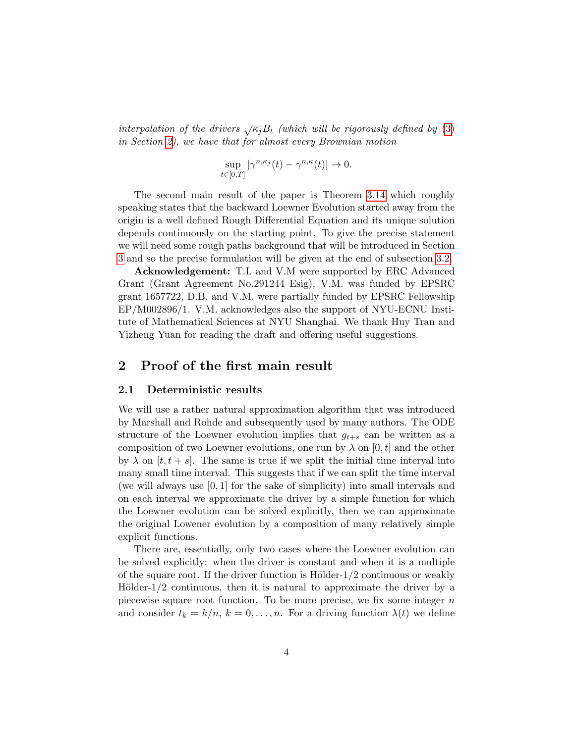interpolation of the drivers  $\sqrt{\kappa_i}B_t$  (which will be rigorously defined by [\(3\)](#page-4-0) in Section [2\)](#page-3-0), we have that for almost every Brownian motion

$$
\sup_{t\in[0,T]}|\gamma^{n,\kappa_j}(t)-\gamma^{n,\kappa}(t)|\to 0.
$$

The second main result of the paper is Theorem [3.14](#page-18-0) which roughly speaking states that the backward Loewner Evolution started away from the origin is a well defined Rough Differential Equation and its unique solution depends continuously on the starting point. To give the precise statement we will need some rough paths background that will be introduced in Section [3](#page-13-0) and so the precise formulation will be given at the end of subsection [3.2.](#page-16-0)

Acknowledgement: T.L and V.M were supported by ERC Advanced Grant (Grant Agreement No.291244 Esig), V.M. was funded by EPSRC grant 1657722, D.B. and V.M. were partially funded by EPSRC Fellowship EP/M002896/1. V.M. acknowledges also the support of NYU-ECNU Institute of Mathematical Sciences at NYU Shanghai. We thank Huy Tran and Yizheng Yuan for reading the draft and offering useful suggestions.

# <span id="page-3-0"></span>2 Proof of the first main result

#### 2.1 Deterministic results

We will use a rather natural approximation algorithm that was introduced by Marshall and Rohde and subsequently used by many authors. The ODE structure of the Loewner evolution implies that  $g_{t+s}$  can be written as a composition of two Loewner evolutions, one run by  $\lambda$  on [0, t] and the other by  $\lambda$  on  $[t, t + s]$ . The same is true if we split the initial time interval into many small time interval. This suggests that if we can split the time interval (we will always use [0, 1] for the sake of simplicity) into small intervals and on each interval we approximate the driver by a simple function for which the Loewner evolution can be solved explicitly, then we can approximate the original Lowener evolution by a composition of many relatively simple explicit functions.

There are, essentially, only two cases where the Loewner evolution can be solved explicitly: when the driver is constant and when it is a multiple of the square root. If the driver function is Hölder- $1/2$  continuous or weakly Hölder- $1/2$  continuous, then it is natural to approximate the driver by a piecewise square root function. To be more precise, we fix some integer  $n$ and consider  $t_k = k/n$ ,  $k = 0, \ldots, n$ . For a driving function  $\lambda(t)$  we define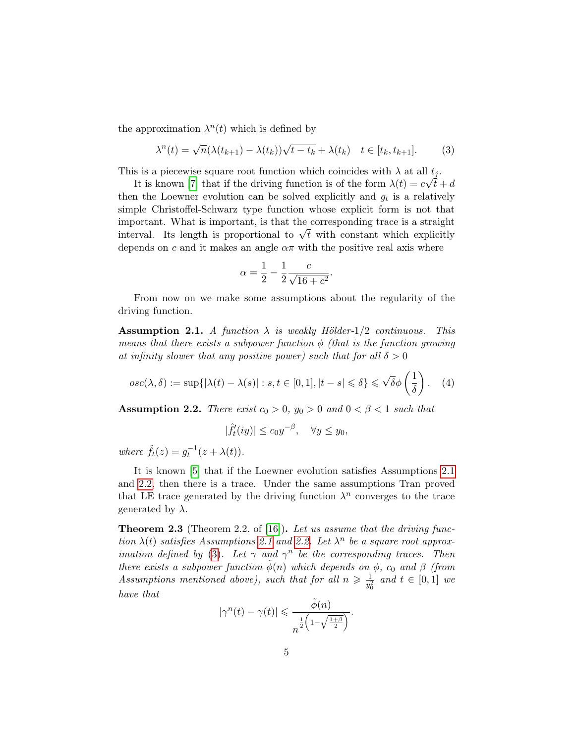the approximation  $\lambda^n(t)$  which is defined by

<span id="page-4-0"></span>
$$
\lambda^{n}(t) = \sqrt{n}(\lambda(t_{k+1}) - \lambda(t_{k}))\sqrt{t - t_{k}} + \lambda(t_{k}) \quad t \in [t_{k}, t_{k+1}].
$$
 (3)

This is a piecewise square root function which coincides with  $\lambda$  at all  $t_j$ .

It is known [\[7\]](#page-20-5) that if the driving function is of the form  $\lambda(t) = c\sqrt{t} + d$ then the Loewner evolution can be solved explicitly and  $g_t$  is a relatively simple Christoffel-Schwarz type function whose explicit form is not that important. What is important, is that the corresponding trace is a straight important. What is important, is that the corresponding trace is a straight interval. Its length is proportional to  $\sqrt{t}$  with constant which explicitly depends on c and it makes an angle  $\alpha\pi$  with the positive real axis where

$$
\alpha = \frac{1}{2} - \frac{1}{2} \frac{c}{\sqrt{16 + c^2}}.
$$

From now on we make some assumptions about the regularity of the driving function.

<span id="page-4-1"></span>**Assumption 2.1.** A function  $\lambda$  is weakly Hölder-1/2 continuous. This means that there exists a subpower function  $\phi$  (that is the function growing at infinity slower that any positive power) such that for all  $\delta > 0$ 

$$
osc(\lambda, \delta) := \sup\{ |\lambda(t) - \lambda(s)| : s, t \in [0, 1], |t - s| \leq \delta \} \leq \sqrt{\delta} \phi \left(\frac{1}{\delta}\right). \quad (4)
$$

<span id="page-4-2"></span>**Assumption 2.2.** There exist  $c_0 > 0$ ,  $y_0 > 0$  and  $0 < \beta < 1$  such that

$$
|\hat{f}'_t(iy)| \le c_0 y^{-\beta}, \quad \forall y \le y_0,
$$

where  $\hat{f}_t(z) = g_t^{-1}(z + \lambda(t)).$ 

It is known [\[5\]](#page-20-6) that if the Loewner evolution satisfies Assumptions [2.1](#page-4-1) and [2.2,](#page-4-2) then there is a trace. Under the same assumptions Tran proved that LE trace generated by the driving function  $\lambda^n$  converges to the trace generated by  $\lambda$ .

<span id="page-4-3"></span>**Theorem 2.3** (Theorem 2.2. of [\[16\]](#page-21-4)). Let us assume that the driving function  $\lambda(t)$  satisfies Assumptions [2.1](#page-4-1) and [2.2.](#page-4-2) Let  $\lambda^n$  be a square root approx-imation defined by [\(3\)](#page-4-0). Let  $\gamma$  and  $\gamma^n$  be the corresponding traces. Then there exists a subpower function  $\phi(n)$  which depends on  $\phi$ ,  $c_0$  and  $\beta$  (from Assumptions mentioned above), such that for all  $n \geqslant \frac{1}{n^2}$  $\frac{1}{y_0^2}$  and  $t \in [0,1]$  we have that

$$
|\gamma^n(t) - \gamma(t)| \leq \frac{\tilde{\phi}(n)}{n^{\frac{1}{2}\left(1 - \sqrt{\frac{1+\beta}{2}}\right)}}.
$$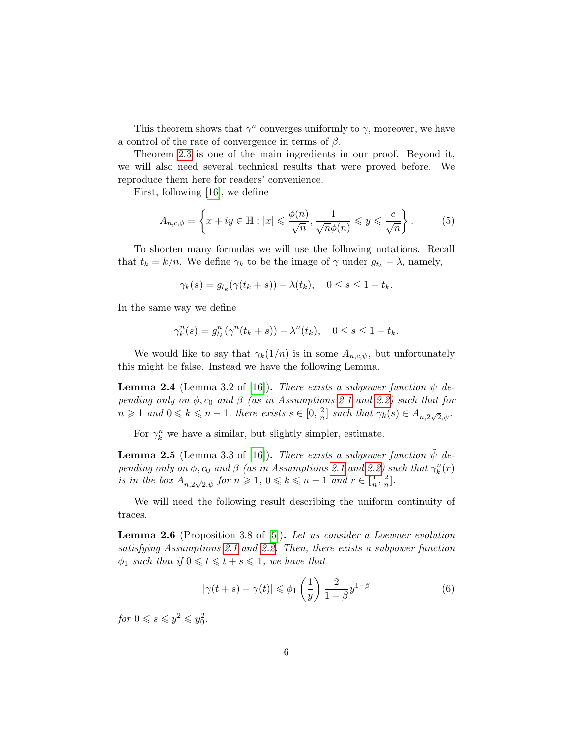This theorem shows that  $\gamma^n$  converges uniformly to  $\gamma$ , moreover, we have a control of the rate of convergence in terms of  $\beta$ .

Theorem [2.3](#page-4-3) is one of the main ingredients in our proof. Beyond it, we will also need several technical results that were proved before. We reproduce them here for readers' convenience.

First, following [\[16\]](#page-21-4), we define

$$
A_{n,c,\phi} = \left\{ x + iy \in \mathbb{H} : |x| \leq \frac{\phi(n)}{\sqrt{n}}, \frac{1}{\sqrt{n}\phi(n)} \leq y \leq \frac{c}{\sqrt{n}} \right\}.
$$
 (5)

To shorten many formulas we will use the following notations. Recall that  $t_k = k/n$ . We define  $\gamma_k$  to be the image of  $\gamma$  under  $g_{t_k} - \lambda$ , namely,

$$
\gamma_k(s) = g_{t_k}(\gamma(t_k + s)) - \lambda(t_k), \quad 0 \le s \le 1 - t_k.
$$

In the same way we define

$$
\gamma_k^n(s) = g_{t_k}^n(\gamma^n(t_k + s)) - \lambda^n(t_k), \quad 0 \le s \le 1 - t_k.
$$

We would like to say that  $\gamma_k(1/n)$  is in some  $A_{n,c,\psi}$ , but unfortunately this might be false. Instead we have the following Lemma.

<span id="page-5-0"></span>**Lemma 2.4** (Lemma 3.2 of [\[16\]](#page-21-4)). There exists a subpower function  $\psi$  depending only on  $\phi$ ,  $c_0$  and  $\beta$  (as in Assumptions [2.1](#page-4-1) and [2.2\)](#page-4-2) such that for  $n \geqslant 1$  and  $0 \leqslant k \leqslant n-1$ , there exists  $s \in [0, \frac{2}{n}]$  $\frac{2}{n}$  such that  $\gamma_k(s) \in A_{n,2\sqrt{2},\psi}$ .

For  $\gamma_k^n$  we have a similar, but slightly simpler, estimate.

<span id="page-5-2"></span>**Lemma 2.5** (Lemma 3.3 of [\[16\]](#page-21-4)). There exists a subpower function  $\psi$  depending only on  $\phi$ ,  $c_0$  and  $\beta$  (as in Assumptions [2.1](#page-4-1) and [2.2\)](#page-4-2) such that  $\gamma_k^n(r)$ is in the box  $A_{n,2\sqrt{2},\tilde{\psi}}$  for  $n \geqslant 1, 0 \leqslant k \leqslant n-1$  and  $r \in \left[\frac{1}{n}\right]$  $\frac{1}{n}, \frac{2}{n}$  $\frac{2}{n}$ .

We will need the following result describing the uniform continuity of traces.

<span id="page-5-1"></span>Lemma 2.6 (Proposition 3.8 of [\[5\]](#page-20-6)). Let us consider a Loewner evolution satisfying Assumptions [2.1](#page-4-1) and [2.2.](#page-4-2) Then, there exists a subpower function  $\phi_1$  such that if  $0 \leq t \leq t + s \leq 1$ , we have that

$$
|\gamma(t+s) - \gamma(t)| \leq \phi_1\left(\frac{1}{y}\right) \frac{2}{1-\beta} y^{1-\beta} \tag{6}
$$

for  $0 \le s \le y^2 \le y_0^2$ .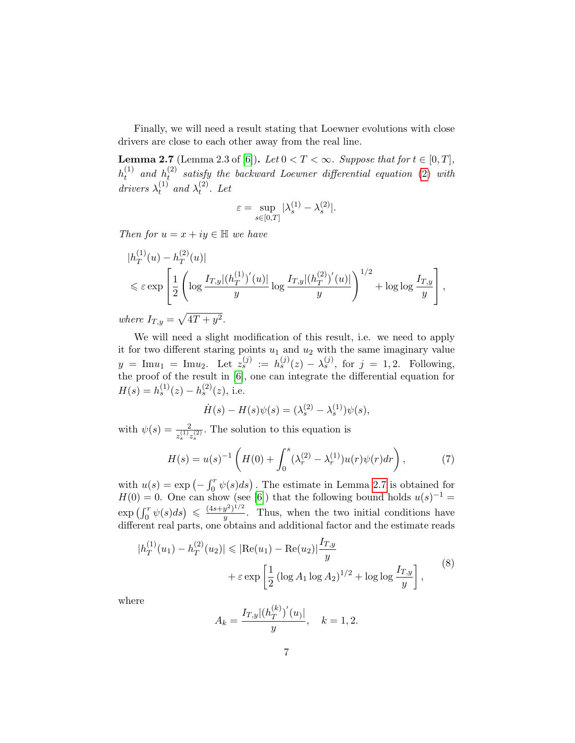Finally, we will need a result stating that Loewner evolutions with close drivers are close to each other away from the real line.

<span id="page-6-0"></span>**Lemma 2.7** (Lemma 2.3 of [\[6\]](#page-20-3)). Let  $0 < T < \infty$ . Suppose that for  $t \in [0, T]$ ,  $h_t^{(1)}$  $\stackrel{(1)}{t}$  and  $\stackrel{(1)}{h_t^{(2)}}$  $t_t^{(2)}$  $t_t^{(2)}$  $t_t^{(2)}$  satisfy the backward Loewner differential equation (2) with drivers  $\lambda_t^{(1)}$  $\lambda_t^{(1)}$  and  $\lambda_t^{(2)}$  $t^{(2)}$ . Let

$$
\varepsilon = \sup_{s \in [0,T]} |\lambda_s^{(1)} - \lambda_s^{(2)}|.
$$

Then for  $u = x + iy \in \mathbb{H}$  we have

$$
|h_T^{(1)}(u) - h_T^{(2)}(u)|
$$
  
\$\leq \varepsilon \exp \left[ \frac{1}{2} \left( \log \frac{I\_{T,y}|(h\_T^{(1)})'(u)|}{y} \log \frac{I\_{T,y}|(h\_T^{(2)})'(u)|}{y} \right)^{1/2} + \log \log \frac{I\_{T,y}}{y} \right]\$,  
here  $I_{T,y} = \sqrt{4T + y^2}$ .

where  $I_{T,y}$  $\sqrt{41}$  $+ y$ 

We will need a slight modification of this result, i.e. we need to apply it for two different staring points  $u_1$  and  $u_2$  with the same imaginary value  $y = \text{Im}u_1 = \text{Im}u_2$ . Let  $z_s^{(j)} := h_s^{(j)}(z) - \lambda_s^{(j)}$ , for  $j = 1, 2$ . Following, the proof of the result in [\[6\]](#page-20-3), one can integrate the differential equation for  $H(s) = h_s^{(1)}(z) - h_s^{(2)}(z)$ , i.e.

$$
\dot{H}(s) - H(s)\psi(s) = (\lambda_s^{(2)} - \lambda_s^{(1)})\psi(s),
$$

with  $\psi(s) = \frac{2}{z_s^{(1)}z_s^{(2)}}$ . The solution to this equation is

$$
H(s) = u(s)^{-1} \left( H(0) + \int_0^s (\lambda_r^{(2)} - \lambda_r^{(1)}) u(r) \psi(r) dr \right), \tag{7}
$$

with  $u(s) = \exp(-\int_0^r \psi(s)ds)$ . The estimate in Lemma [2.7](#page-6-0) is obtained for  $H(0) = 0$ . One can show (see [\[6\]](#page-20-3)) that the following bound holds  $u(s)^{-1} =$  $\exp\left(\int_0^r \psi(s)ds\right) \leqslant \frac{(4s+y^2)^{1/2}}{y}$  $\frac{y}{y}$ . Thus, when the two initial conditions have different real parts, one obtains and additional factor and the estimate reads

<span id="page-6-1"></span>
$$
|h_T^{(1)}(u_1) - h_T^{(2)}(u_2)| \leq |Re(u_1) - Re(u_2)| \frac{I_{T,y}}{y}
$$
  
+  $\varepsilon \exp\left[\frac{1}{2} \left(\log A_1 \log A_2\right)^{1/2} + \log \log \frac{I_{T,y}}{y}\right],$  (8)

where

$$
A_k = \frac{I_{T,y}|(h_T^{(k)})'(u)|}{y}, \quad k = 1, 2.
$$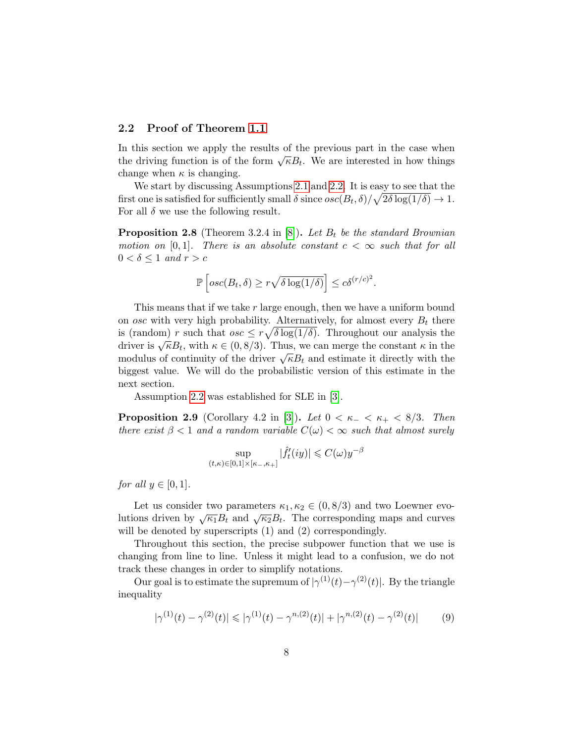## 2.2 Proof of Theorem [1.1](#page-2-1)

In this section we apply the results of the previous part in the case when the driving function is of the form  $\sqrt{\kappa}B_t$ . We are interested in how things change when  $\kappa$  is changing.

We start by discussing Assumptions [2.1](#page-4-1) and [2.2.](#page-4-2) It is easy to see that the first one is satisfied for sufficiently small  $\delta$  since  $osc(B_t, \delta) / \sqrt{2\delta \log(1/\delta)} \to 1$ . For all  $\delta$  we use the following result.

<span id="page-7-2"></span>**Proposition 2.8** (Theorem 3.2.4 in [\[8\]](#page-20-7)). Let  $B_t$  be the standard Brownian motion on [0,1]. There is an absolute constant  $c < \infty$  such that for all  $0 < \delta \leq 1$  and  $r > c$ 

$$
\mathbb{P}\left[osc(B_t, \delta) \ge r\sqrt{\delta \log(1/\delta)}\right] \le c\delta^{(r/c)^2}.
$$

This means that if we take r large enough, then we have a uniform bound on *osc* with very high probability. Alternatively, for almost every  $B_t$  there is (random) r such that  $osc \leq r \sqrt{\delta \log(1/\delta)}$ . Throughout our analysis the driver is  $\sqrt{\kappa}B_t$ , with  $\kappa \in (0,8/3)$ . Thus, we can merge the constant  $\kappa$  in the modulus of continuity of the driver  $\sqrt{\kappa}B_t$  and estimate it directly with the biggest value. We will do the probabilistic version of this estimate in the next section.

Assumption [2.2](#page-4-2) was established for SLE in [\[3\]](#page-20-4).

<span id="page-7-1"></span>**Proposition 2.9** (Corollary 4.2 in [\[3\]](#page-20-4)). Let  $0 < \kappa_- < \kappa_+ < 8/3$ . Then there exist  $\beta < 1$  and a random variable  $C(\omega) < \infty$  such that almost surely

$$
\sup_{(t,\kappa)\in[0,1]\times[\kappa_-,\kappa_+]}|\hat{f}_t'(iy)|\leqslant C(\omega)y^{-\beta}
$$

for all  $y \in [0,1]$ .

Let us consider two parameters  $\kappa_1, \kappa_2 \in (0, 8/3)$  and two Loewner evo-Lutions driven by  $\sqrt{\kappa_1}B_t$  and  $\sqrt{\kappa_2}B_t$ . The corresponding maps and curves will be denoted by superscripts  $(1)$  and  $(2)$  correspondingly.

Throughout this section, the precise subpower function that we use is changing from line to line. Unless it might lead to a confusion, we do not track these changes in order to simplify notations.

Our goal is to estimate the supremum of  $|\gamma^{(1)}(t)-\gamma^{(2)}(t)|$ . By the triangle inequality

<span id="page-7-0"></span>
$$
|\gamma^{(1)}(t) - \gamma^{(2)}(t)| \le |\gamma^{(1)}(t) - \gamma^{n,(2)}(t)| + |\gamma^{n,(2)}(t) - \gamma^{(2)}(t)| \tag{9}
$$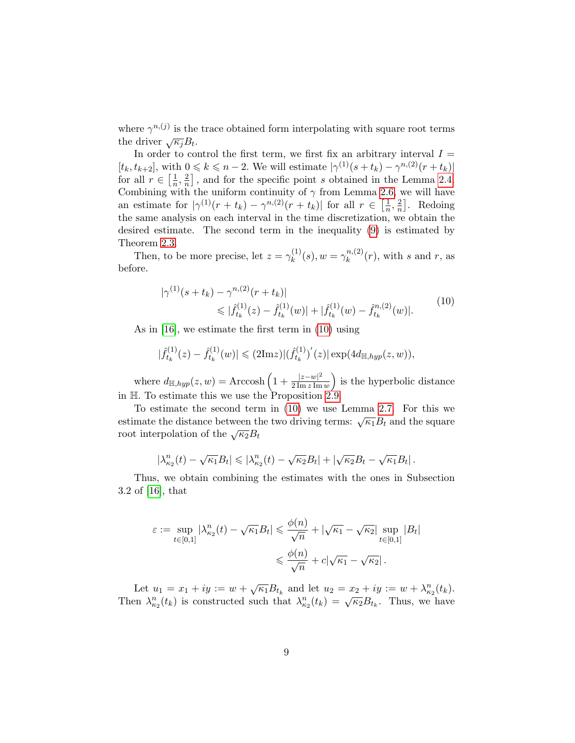where  $\gamma^{n,(j)}$  is the trace obtained form interpolating with square root terms the driver  $\sqrt{\kappa_j}B_t$ .

In order to control the first term, we first fix an arbitrary interval  $I =$  $[t_k, t_{k+2}]$ , with  $0 \leq k \leq n-2$ . We will estimate  $|\gamma^{(1)}(s+t_k) - \gamma^{n,(2)}(r+t_k)|$ for all  $r \in \left[\frac{1}{n}\right]$  $\frac{1}{n}, \frac{2}{n}$  $\frac{2}{n}$ , and for the specific point s obtained in the Lemma [2.4.](#page-5-0) Combining with the uniform continuity of  $\gamma$  from Lemma [2.6,](#page-5-1) we will have an estimate for  $|\gamma^{(1)}(r+t_k) - \gamma^{n,(2)}(r+t_k)|$  for all  $r \in \left[\frac{1}{n}\right]$  $\frac{1}{n}, \frac{2}{n}$  $\frac{2}{n}$ . Redoing the same analysis on each interval in the time discretization, we obtain the desired estimate. The second term in the inequality [\(9\)](#page-7-0) is estimated by Theorem [2.3.](#page-4-3)

Then, to be more precise, let  $z = \gamma_k^{(1)}$  $\chi_k^{(1)}(s), w = \gamma_k^{n,(2)}$  $\binom{n,(2)}{k}(r)$ , with s and r, as before.

<span id="page-8-0"></span>
$$
|\gamma^{(1)}(s+t_k) - \gamma^{n,(2)}(r+t_k)|
$$
  
\$\leqslant | \hat{f}\_{t\_k}^{(1)}(z) - \hat{f}\_{t\_k}^{(1)}(w) | + | \hat{f}\_{t\_k}^{(1)}(w) - \hat{f}\_{t\_k}^{n,(2)}(w) |. \qquad (10)\$

As in [\[16\]](#page-21-4), we estimate the first term in [\(10\)](#page-8-0) using

$$
|\hat{f}_{t_k}^{(1)}(z) - \hat{f}_{t_k}^{(1)}(w)| \leq (2\text{Im}z)|(\hat{f}_{t_k}^{(1)})'(z)| \exp(4d_{\mathbb{H}, hyp}(z,w)),
$$

where  $d_{\mathbb{H}, hyp}(z,w) = \text{Arccosh}\left(1 + \frac{|z-w|^2}{2\text{Im }z \text{Im}}\right)$  $\frac{|z-w|^2}{2 \operatorname{Im} z \operatorname{Im} w}$  is the hyperbolic distance in H. To estimate this we use the Proposition [2.9.](#page-7-1)

To estimate the second term in [\(10\)](#page-8-0) we use Lemma [2.7.](#page-6-0) For this we For estimate the second term in (10) we use Lemma 2.7. For this we estimate the distance between the two driving terms:  $\sqrt{\kappa_1}B_t$  and the square root interpolation of the  $\sqrt{\kappa_2}B_t$ 

$$
|\lambda_{\kappa_2}^n(t) - \sqrt{\kappa_1}B_t| \leqslant |\lambda_{\kappa_2}^n(t) - \sqrt{\kappa_2}B_t| + |\sqrt{\kappa_2}B_t - \sqrt{\kappa_1}B_t|.
$$

Thus, we obtain combining the estimates with the ones in Subsection 3.2 of [\[16\]](#page-21-4), that

$$
\varepsilon := \sup_{t \in [0,1]} |\lambda_{\kappa_2}^n(t) - \sqrt{\kappa_1} B_t| \leq \frac{\phi(n)}{\sqrt{n}} + |\sqrt{\kappa_1} - \sqrt{\kappa_2}| \sup_{t \in [0,1]} |B_t|
$$
  

$$
\leq \frac{\phi(n)}{\sqrt{n}} + c|\sqrt{\kappa_1} - \sqrt{\kappa_2}|.
$$

Let  $u_1 = x_1 + iy := w + \sqrt{\kappa_1} B_{t_k}$  and let  $u_2 = x_2 + iy := w + \lambda_{\kappa_2}^n(t_k)$ . Then  $\lambda_{k_2}^n(t_k)$  is constructed such that  $\lambda_{k_2}^n(t_k) = \sqrt{\kappa_2} B_{t_k}$ . Thus, we have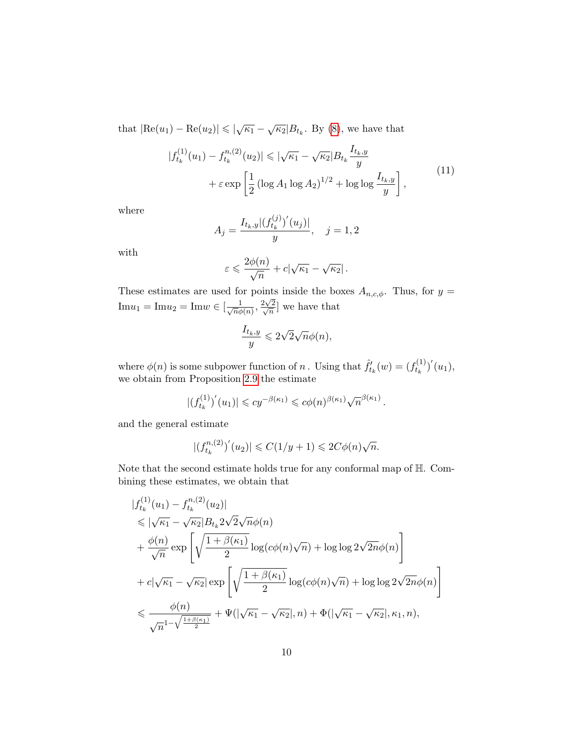that  $|\text{Re}(u_1) - \text{Re}(u_2)| \le |\sqrt{\kappa_1} - \sqrt{\kappa_2}|B_{t_k}$ . By [\(8\)](#page-6-1), we have that

$$
|f_{t_k}^{(1)}(u_1) - f_{t_k}^{n,(2)}(u_2)| \le |\sqrt{\kappa_1} - \sqrt{\kappa_2}|B_{t_k}\frac{I_{t_k,y}}{y}| + \varepsilon \exp\left[\frac{1}{2}\left(\log A_1 \log A_2\right)^{1/2} + \log\log\frac{I_{t_k,y}}{y}\right],\tag{11}
$$

where

$$
A_j = \frac{I_{t_k, y} | (f_{t_k}^{(j)})'(u_j) |}{y}, \quad j = 1, 2
$$

with

$$
\varepsilon \leqslant \frac{2\phi(n)}{\sqrt{n}} + c|\sqrt{\kappa_1} - \sqrt{\kappa_2}| \,.
$$

These estimates are used for points inside the boxes  $A_{n,c,\phi}$ . Thus, for  $y =$  $\text{Im}u_1 = \text{Im}u_2 = \text{Im}w \in \left[\frac{1}{\sqrt{n}\phi}\right]$  $rac{1}{\overline{n}\phi(n)}, \frac{2\sqrt{n}}{\sqrt{n}}$  $\frac{2\sqrt{2}}{2}$  $\left(\frac{2}{n}\right]$  we have that

$$
\frac{I_{t_k,y}}{y} \leqslant 2\sqrt{2}\sqrt{n}\phi(n),
$$

where  $\phi(n)$  is some subpower function of n. Using that  $\hat{f}'_{t_k}(w) = (f^{(1)}_{t_k})$  $(t_k^{(1)})'(u_1),$ we obtain from Proposition [2.9](#page-7-1) the estimate

$$
|(f_{t_k}^{(1)})'(u_1)| \leq c y^{-\beta(\kappa_1)} \leq c \phi(n)^{\beta(\kappa_1)} \sqrt{n}^{\beta(\kappa_1)}.
$$

and the general estimate

$$
|(f_{t_k}^{n,(2)})'(u_2)| \leqslant C(1/y + 1) \leqslant 2C\phi(n)\sqrt{n}.
$$

Note that the second estimate holds true for any conformal map of H. Combining these estimates, we obtain that

$$
|f_{t_k}^{(1)}(u_1) - f_{t_k}^{n,(2)}(u_2)|
$$
  
\n
$$
\leq |\sqrt{\kappa_1} - \sqrt{\kappa_2}|B_{t_k} 2\sqrt{2}\sqrt{n}\phi(n)|
$$
  
\n
$$
+ \frac{\phi(n)}{\sqrt{n}} \exp\left[\sqrt{\frac{1 + \beta(\kappa_1)}{2}}\log(c\phi(n)\sqrt{n}) + \log\log 2\sqrt{2n}\phi(n)\right]
$$
  
\n
$$
+ c|\sqrt{\kappa_1} - \sqrt{\kappa_2}| \exp\left[\sqrt{\frac{1 + \beta(\kappa_1)}{2}}\log(c\phi(n)\sqrt{n}) + \log\log 2\sqrt{2n}\phi(n)\right]
$$
  
\n
$$
\leq \frac{\phi(n)}{\sqrt{n^{1-\sqrt{\frac{1+\beta(\kappa_1)}{2}}}}} + \Psi(|\sqrt{\kappa_1} - \sqrt{\kappa_2}|, n) + \Phi(|\sqrt{\kappa_1} - \sqrt{\kappa_2}|, \kappa_1, n),
$$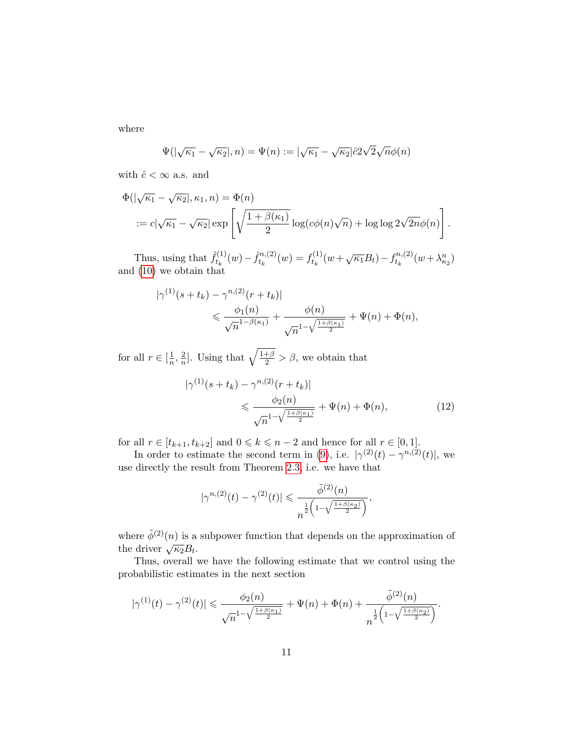where

$$
\Psi(|\sqrt{\kappa_1} - \sqrt{\kappa_2}|, n) = \Psi(n) := |\sqrt{\kappa_1} - \sqrt{\kappa_2}| \hat{c} 2\sqrt{2} \sqrt{n} \phi(n)
$$

with  $\hat{c} < \infty$  a.s. and

$$
\Phi(|\sqrt{\kappa_1} - \sqrt{\kappa_2}|, \kappa_1, n) = \Phi(n)
$$
  
 :=  $c|\sqrt{\kappa_1} - \sqrt{\kappa_2}| \exp\left[\sqrt{\frac{1 + \beta(\kappa_1)}{2}}\log(c\phi(n)\sqrt{n}) + \log\log 2\sqrt{2n}\phi(n)\right].$ 

Thus, using that  $\hat{f}_{t_k}^{(1)}$  $f_{t_k}^{(1)}(w) - \hat{f}_{t_k}^{n,(2)}$  $t_k^{(n)}(w) = f_{t_k}^{(1)}$  $t_k^{(1)}(w+\sqrt{\kappa_1}B_t)-f_{t_k}^{n,(2)}$  $t_k^{(n,2)}(w+\lambda_{\kappa_2}^n)$ and [\(10\)](#page-8-0) we obtain that

$$
|\gamma^{(1)}(s+t_k) - \gamma^{n,(2)}(r+t_k)|
$$
  
\$\leq \frac{\phi\_1(n)}{\sqrt{n}^{1-\beta(\kappa\_1)}} + \frac{\phi(n)}{\sqrt{n}^{1-\sqrt{\frac{1+\beta(\kappa\_1)}{2}}}} + \Psi(n) + \Phi(n),\$

for all  $r \in \left[\frac{1}{n}\right]$  $\frac{1}{n}, \frac{2}{n}$  $\frac{2}{n}$ . Using that  $\sqrt{\frac{1+\beta}{2}} > \beta$ , we obtain that

$$
|\gamma^{(1)}(s+t_k) - \gamma^{n,(2)}(r+t_k)|
$$
  
\$\leq \frac{\phi\_2(n)}{\sqrt{n}^{1-\sqrt{\frac{1+\beta(\kappa\_1)}{2}}}} + \Psi(n) + \Phi(n), \qquad (12)\$

for all  $r \in [t_{k+1}, t_{k+2}]$  and  $0 \leq k \leq n-2$  and hence for all  $r \in [0, 1]$ .

In order to estimate the second term in [\(9\)](#page-7-0), i.e.  $|\gamma^{(2)}(t) - \gamma^{n,(2)}(t)|$ , we use directly the result from Theorem [2.3,](#page-4-3) i.e. we have that

<span id="page-10-0"></span>
$$
|\gamma^{n,(2)}(t)-\gamma^{(2)}(t)| \leq \frac{\tilde{\phi}^{(2)}(n)}{n^{\frac{1}{2}\left(1-\sqrt{\frac{1+\beta(\kappa_2)}{2}}\right)}},
$$

where  $\tilde{\phi}^{(2)}(n)$  is a subpower function that depends on the approximation of where  $\sqrt{\kappa_2}B_t$ .

Thus, overall we have the following estimate that we control using the probabilistic estimates in the next section

$$
|\gamma^{(1)}(t)-\gamma^{(2)}(t)|\leq \frac{\phi_2(n)}{\sqrt{n^{1-\sqrt{\frac{1+\beta(\kappa_1)}{2}}}}+\Psi(n)+\Phi(n)+\frac{\tilde{\phi}^{(2)}(n)}{n^{\frac{1}{2}\left(1-\sqrt{\frac{1+\beta(\kappa_2)}{2}}\right)}}.
$$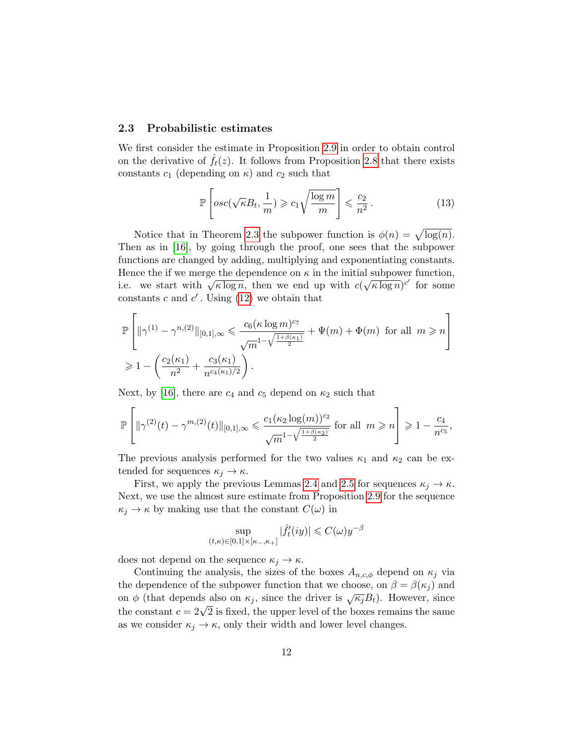#### 2.3 Probabilistic estimates

We first consider the estimate in Proposition [2.9](#page-7-1) in order to obtain control on the derivative of  $f_t(z)$ . It follows from Proposition [2.8](#page-7-2) that there exists constants  $c_1$  (depending on  $\kappa$ ) and  $c_2$  such that

$$
\mathbb{P}\left[osc(\sqrt{\kappa}B_t, \frac{1}{m}) \geqslant c_1\sqrt{\frac{\log m}{m}}\right] \leqslant \frac{c_2}{n^2}.
$$
\n(13)

Notice that in Theorem [2.3](#page-4-3) the subpower function is  $\phi(n) = \sqrt{\log(n)}$ . Then as in [\[16\]](#page-21-4), by going through the proof, one sees that the subpower functions are changed by adding, multiplying and exponentiating constants. Hence the if we merge the dependence on  $\kappa$  in the initial subpower function, Thence the n we merge the dependence on  $\kappa$  in the initial<br>i.e. we start with  $\sqrt{\kappa \log n}$ , then we end up with c( √  $(\overline{\kappa \log n})^{c'}$  for some constants  $c$  and  $c'$ . Using [\(12\)](#page-10-0) we obtain that

$$
\mathbb{P}\left[\|\gamma^{(1)} - \gamma^{n,(2)}\|_{[0,1],\infty} \leq \frac{c_6(\kappa \log m)^{c_7}}{\sqrt{m}^{1-\sqrt{\frac{1+\beta(\kappa_1)}{2}}}} + \Psi(m) + \Phi(m) \text{ for all } m \geq n\right]
$$
  

$$
\geq 1 - \left(\frac{c_2(\kappa_1)}{n^2} + \frac{c_3(\kappa_1)}{n^{c_4(\kappa_1)/2}}\right).
$$

Next, by [\[16\]](#page-21-4), there are  $c_4$  and  $c_5$  depend on  $\kappa_2$  such that

$$
\mathbb{P}\left[\|\gamma^{(2)}(t)-\gamma^{m,(2)}(t)\|_{[0,1],\infty} \leq \frac{c_1(\kappa_2 \log(m))^{c_2}}{\sqrt{m}^{1-\sqrt{\frac{1+\beta(\kappa_2)}{2}}}} \text{ for all } m \geq n\right] \geq 1-\frac{c_4}{n^{c_5}},
$$

The previous analysis performed for the two values  $\kappa_1$  and  $\kappa_2$  can be extended for sequences  $\kappa_j \to \kappa$ .

First, we apply the previous Lemmas [2.4](#page-5-0) and [2.5](#page-5-2) for sequences  $\kappa_i \to \kappa$ . Next, we use the almost sure estimate from Proposition [2.9](#page-7-1) for the sequence  $\kappa_j \to \kappa$  by making use that the constant  $C(\omega)$  in

$$
\sup_{(t,\kappa)\in[0,1]\times[\kappa_-,\kappa_+]}|\hat{f}_t'(iy)|\leqslant C(\omega)y^{-\beta}
$$

does not depend on the sequence  $\kappa_j \to \kappa$ .

Continuing the analysis, the sizes of the boxes  $A_{n,c,\phi}$  depend on  $\kappa_j$  via the dependence of the subpower function that we choose, on  $\beta = \beta(\kappa_i)$  and on  $\phi$  (that depends also on  $\kappa_j$ , since the driver is  $\sqrt{\kappa_j}B_t$ ). However, since the constant  $c = 2\sqrt{2}$  is fixed, the upper level of the boxes remains the same as we consider  $\kappa_j \to \kappa$ , only their width and lower level changes.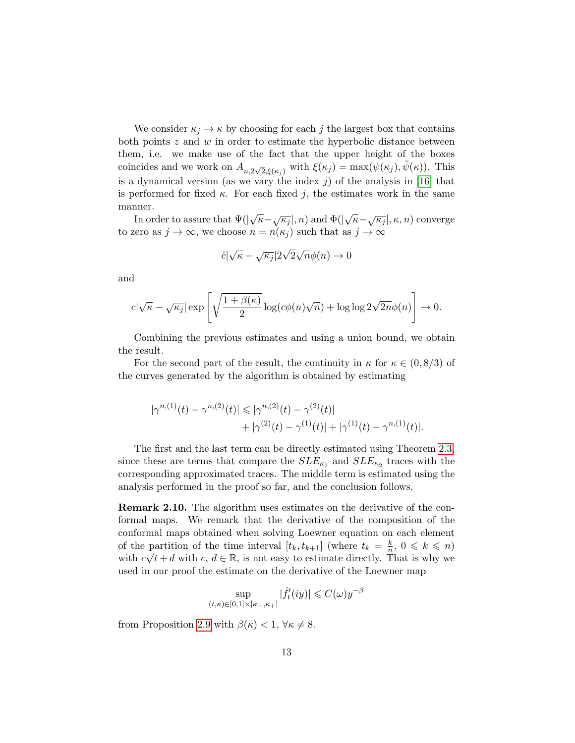We consider  $\kappa_i \to \kappa$  by choosing for each j the largest box that contains both points  $z$  and  $w$  in order to estimate the hyperbolic distance between them, i.e. we make use of the fact that the upper height of the boxes coincides and we work on  $A_{n,2\sqrt{2},\xi(\kappa_j)}$  with  $\xi(\kappa_j) = \max(\psi(\kappa_j), \tilde{\psi}(\kappa))$ . This is a dynamical version (as we vary the index  $j$ ) of the analysis in [\[16\]](#page-21-4) that is performed for fixed  $\kappa$ . For each fixed j, the estimates work in the same manner.

In order to assure that  $\Psi(|\sqrt{\kappa}-\sqrt{\kappa_j}|,n)$  and  $\Phi(|\sqrt{\kappa}-\sqrt{\kappa_j}|,\kappa,n)$  converge to zero as  $j \to \infty$ , we choose  $n = n(\kappa_j)$  such that as  $j \to \infty$ 

$$
\hat{c}|\sqrt{\kappa} - \sqrt{\kappa_j}|2\sqrt{2}\sqrt{n}\phi(n) \to 0
$$

and

$$
c|\sqrt{\kappa} - \sqrt{\kappa_j}| \exp\left[\sqrt{\frac{1+\beta(\kappa)}{2}}\log(c\phi(n)\sqrt{n}) + \log\log 2\sqrt{2n}\phi(n)\right] \to 0.
$$

Combining the previous estimates and using a union bound, we obtain the result.

For the second part of the result, the continuity in  $\kappa$  for  $\kappa \in (0, 8/3)$  of the curves generated by the algorithm is obtained by estimating

$$
|\gamma^{n,(1)}(t) - \gamma^{n,(2)}(t)| \le |\gamma^{n,(2)}(t) - \gamma^{(2)}(t)| + |\gamma^{(2)}(t) - \gamma^{(1)}(t)| + |\gamma^{(1)}(t) - \gamma^{n,(1)}(t)|.
$$

The first and the last term can be directly estimated using Theorem [2.3,](#page-4-3) since these are terms that compare the  $SLE_{\kappa_1}$  and  $SLE_{\kappa_2}$  traces with the corresponding approximated traces. The middle term is estimated using the analysis performed in the proof so far, and the conclusion follows.

Remark 2.10. The algorithm uses estimates on the derivative of the conformal maps. We remark that the derivative of the composition of the conformal maps obtained when solving Loewner equation on each element of the partition of the time interval  $[t_k, t_{k+1}]$  (where  $t_k = \frac{k}{n}$ partition of the time interval  $[t_k, t_{k+1}]$  (where  $t_k = \frac{k}{n}, 0 \leq k \leq n$ ) with  $c\sqrt{t} + d$  with  $c, d \in \mathbb{R}$ , is not easy to estimate directly. That is why we used in our proof the estimate on the derivative of the Loewner map

$$
\sup_{(t,\kappa)\in[0,1]\times[\kappa_-,\kappa_+]}|\hat{f}_t'(iy)|\leqslant C(\omega)y^{-\beta}
$$

from Proposition [2.9](#page-7-1) with  $\beta(\kappa) < 1$ ,  $\forall \kappa \neq 8$ .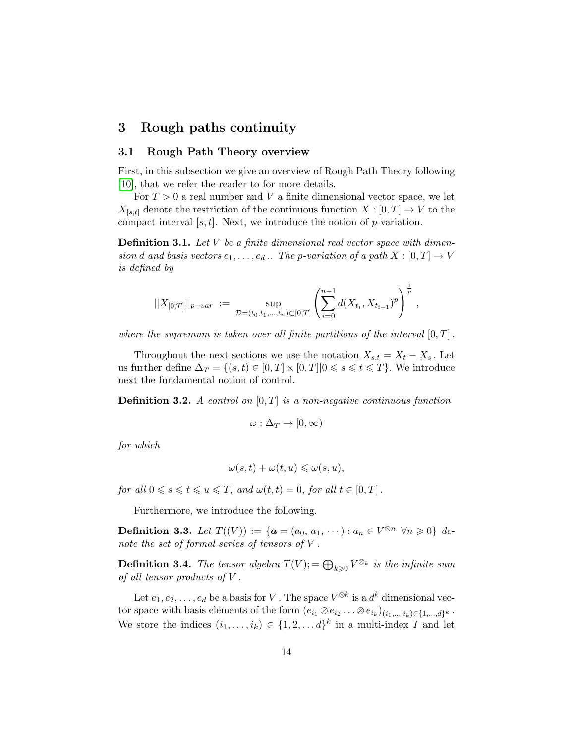# <span id="page-13-0"></span>3 Rough paths continuity

#### 3.1 Rough Path Theory overview

First, in this subsection we give an overview of Rough Path Theory following [\[10\]](#page-21-3), that we refer the reader to for more details.

For  $T > 0$  a real number and V a finite dimensional vector space, we let  $X_{[s,t]}$  denote the restriction of the continuous function  $X : [0,T] \to V$  to the compact interval  $[s, t]$ . Next, we introduce the notion of p-variation.

**Definition 3.1.** Let  $V$  be a finite dimensional real vector space with dimension d and basis vectors  $e_1, \ldots, e_d$ .. The p-variation of a path  $X : [0, T] \to V$ is defined by

$$
||X_{[0,T]}||_{p-var} := \sup_{\mathcal{D}=(t_0,t_1,\ldots,t_n)\subset [0,T]} \left(\sum_{i=0}^{n-1} d(X_{t_i},X_{t_{i+1}})^p\right)^{\frac{1}{p}},
$$

where the supremum is taken over all finite partitions of the interval  $[0, T]$ .

Throughout the next sections we use the notation  $X_{s,t} = X_t - X_s$ . Let us further define  $\Delta_T = \{(s, t) \in [0, T] \times [0, T] | 0 \leq s \leq t \leq T\}$ . We introduce next the fundamental notion of control.

**Definition 3.2.** A control on  $[0, T]$  is a non-negative continuous function

$$
\omega : \Delta_T \to [0, \infty)
$$

for which

$$
\omega(s,t) + \omega(t,u) \leq \omega(s,u),
$$

for all  $0 \le s \le t \le u \le T$ , and  $\omega(t, t) = 0$ , for all  $t \in [0, T]$ .

Furthermore, we introduce the following.

**Definition 3.3.** Let  $T((V)) := \{a = (a_0, a_1, \dots) : a_n \in V^{\otimes n} \ \forall n \geq 0\} \ de$ note the set of formal series of tensors of V .

**Definition 3.4.** The tensor algebra  $T(V)$ ; =  $\bigoplus_{k\geqslant 0} V^{\otimes_k}$  is the infinite sum of all tensor products of V .

Let  $e_1, e_2, \ldots, e_d$  be a basis for V. The space  $V^{\otimes k}$  is a  $d^k$  dimensional vector space with basis elements of the form  $(e_{i_1} \otimes e_{i_2} \dots \otimes e_{i_k})_{(i_1,\dots,i_k)\in\{1,\dots,d\}^k}$ . We store the indices  $(i_1, \ldots, i_k) \in \{1, 2, \ldots d\}^k$  in a multi-index I and let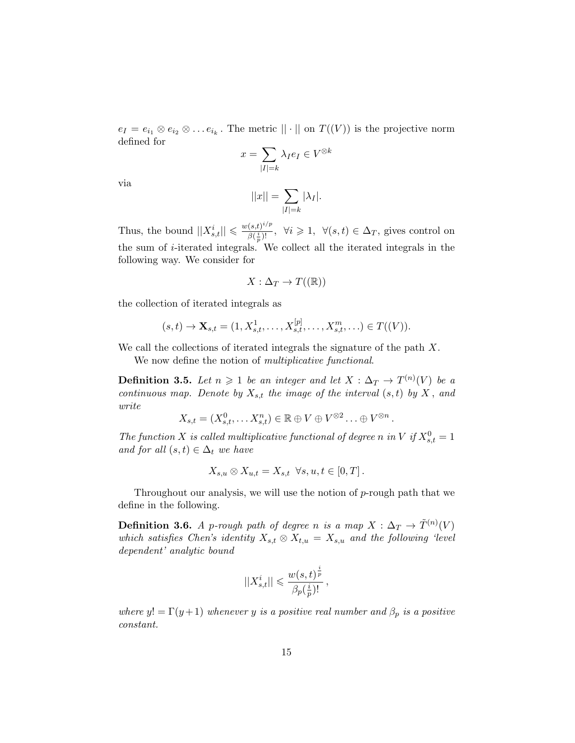$e_I = e_{i_1} \otimes e_{i_2} \otimes \ldots e_{i_k}$ . The metric  $|| \cdot ||$  on  $T((V))$  is the projective norm defined for

$$
x = \sum_{|I|=k} \lambda_I e_I \in V^{\otimes k}
$$

via

$$
||x|| = \sum_{|I|=k} |\lambda_I|.
$$

Thus, the bound  $||X_{s,t}^i|| \leq \frac{w(s,t)^{i/p}}{\beta(\frac{i}{2})!}$  $\frac{(s,t)^{i/p}}{\beta(\frac{i}{p})!}$ ,  $\forall i \geq 1$ ,  $\forall (s,t) \in \Delta_T$ , gives control on the sum of i-iterated integrals. We collect all the iterated integrals in the following way. We consider for

$$
X:\Delta_T\to T((\mathbb{R}))
$$

the collection of iterated integrals as

$$
(s,t) \to \mathbf{X}_{s,t} = (1, X_{s,t}^1, \dots, X_{s,t}^{[p]}, \dots, X_{s,t}^m, \dots) \in T((V)).
$$

We call the collections of iterated integrals the signature of the path X.

We now define the notion of *multiplicative functional*.

**Definition 3.5.** Let  $n \geq 1$  be an integer and let  $X : \Delta_T \to T^{(n)}(V)$  be a continuous map. Denote by  $X_{s,t}$  the image of the interval  $(s,t)$  by  $X$ , and write

$$
X_{s,t} = (X_{s,t}^0, \ldots X_{s,t}^n) \in \mathbb{R} \oplus V \oplus V^{\otimes 2} \ldots \oplus V^{\otimes n}.
$$

The function X is called multiplicative functional of degree n in V if  $X_{s,t}^0 = 1$ and for all  $(s,t) \in \Delta_t$  we have

$$
X_{s,u} \otimes X_{u,t} = X_{s,t} \quad \forall s, u, t \in [0,T].
$$

Throughout our analysis, we will use the notion of  $p$ -rough path that we define in the following.

**Definition 3.6.** A p-rough path of degree n is a map  $X: \Delta_T \to \tilde{T}^{(n)}(V)$ which satisfies Chen's identity  $X_{s,t} \otimes X_{t,u} = X_{s,u}$  and the following 'level dependent' analytic bound

$$
||X_{s,t}^i|| \leqslant \frac{w(s,t)^{\frac{i}{p}}}{\beta_p(\frac{i}{p})!}\,,
$$

where  $y! = \Gamma(y+1)$  whenever y is a positive real number and  $\beta_p$  is a positive constant.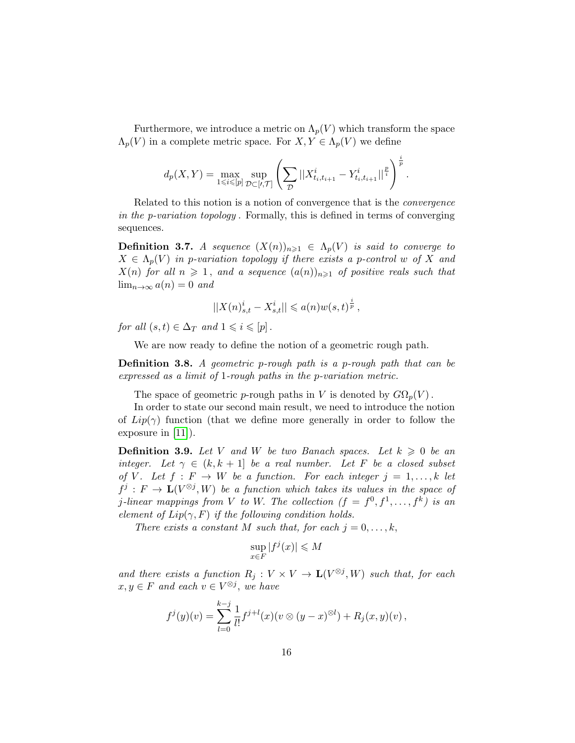Furthermore, we introduce a metric on  $\Lambda_p(V)$  which transform the space  $\Lambda_p(V)$  in a complete metric space. For  $X, Y \in \Lambda_p(V)$  we define

$$
d_p(X,Y) = \max_{1 \leq i \leq [p]} \sup_{\mathcal{D} \subset [t,\mathcal{T}]} \left( \sum_{\mathcal{D}} ||X^i_{t_i,t_{i+1}} - Y^i_{t_i,t_{i+1}}||^{\frac{p}{i}} \right)^{\frac{i}{p}}.
$$

Related to this notion is a notion of convergence that is the convergence in the p-variation topology . Formally, this is defined in terms of converging sequences.

<span id="page-15-0"></span>**Definition 3.7.** A sequence  $(X(n))_{n\geq 1} \in \Lambda_p(V)$  is said to converge to  $X \in \Lambda_p(V)$  in p-variation topology if there exists a p-control w of X and  $X(n)$  for all  $n \geq 1$ , and a sequence  $(a(n))_{n\geq 1}$  of positive reals such that  $\lim_{n\to\infty} a(n) = 0$  and

$$
||X(n)_{s,t}^i - X_{s,t}^i|| \leq a(n)w(s,t)^{\frac{i}{p}},
$$

for all  $(s, t) \in \Delta_T$  and  $1 \leq i \leq p$ .

We are now ready to define the notion of a geometric rough path.

Definition 3.8. A geometric p-rough path is a p-rough path that can be expressed as a limit of 1-rough paths in the p-variation metric.

The space of geometric p-rough paths in V is denoted by  $G\Omega_p(V)$ .

In order to state our second main result, we need to introduce the notion of  $Lip(\gamma)$  function (that we define more generally in order to follow the exposure in [\[11\]](#page-21-5)).

**Definition 3.9.** Let V and W be two Banach spaces. Let  $k \geq 0$  be an integer. Let  $\gamma \in (k, k + 1]$  be a real number. Let F be a closed subset of V. Let  $f: F \to W$  be a function. For each integer  $j = 1, \ldots, k$  let  $f^j: F \to \mathbf{L}(V^{\otimes j}, W)$  be a function which takes its values in the space of j-linear mappings from V to W. The collection  $(f = f^0, f^1, \ldots, f^k)$  is an element of  $Lip(\gamma, F)$  if the following condition holds.

There exists a constant M such that, for each  $j = 0, \ldots, k$ ,

$$
\sup_{x \in F} |f^j(x)| \le M
$$

and there exists a function  $R_j: V \times V \to \mathbf{L}(V^{\otimes j}, W)$  such that, for each  $x, y \in F$  and each  $v \in V^{\otimes j}$ , we have

$$
f^{j}(y)(v) = \sum_{l=0}^{k-j} \frac{1}{l!} f^{j+l}(x)(v \otimes (y-x)^{\otimes l}) + R_{j}(x,y)(v),
$$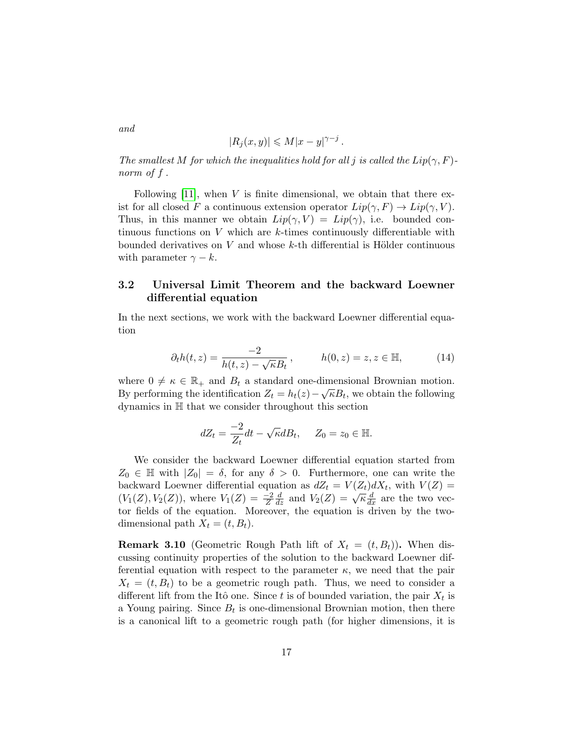$$
|R_j(x,y)| \leqslant M|x-y|^{\gamma-j}.
$$

The smallest M for which the inequalities hold for all j is called the  $Lip(\gamma, F)$ norm of f .

Following  $[11]$ , when V is finite dimensional, we obtain that there exist for all closed F a continuous extension operator  $Lip(\gamma, F) \to Lip(\gamma, V)$ . Thus, in this manner we obtain  $Lip(\gamma, V) = Lip(\gamma)$ , i.e. bounded continuous functions on V which are k-times continuously differentiable with bounded derivatives on  $V$  and whose k-th differential is Hölder continuous with parameter  $\gamma - k$ .

### <span id="page-16-0"></span>3.2 Universal Limit Theorem and the backward Loewner differential equation

In the next sections, we work with the backward Loewner differential equation

$$
\partial_t h(t, z) = \frac{-2}{h(t, z) - \sqrt{\kappa} B_t}, \qquad h(0, z) = z, z \in \mathbb{H}, \tag{14}
$$

where  $0 \neq \kappa \in \mathbb{R}_+$  and  $B_t$  a standard one-dimensional Brownian motion. By performing the identification  $Z_t = h_t(z) - \sqrt{\kappa} B_t$ , we obtain the following dynamics in H that we consider throughout this section

$$
dZ_t = \frac{-2}{Z_t}dt - \sqrt{\kappa}dB_t, \quad Z_0 = z_0 \in \mathbb{H}.
$$

We consider the backward Loewner differential equation started from  $Z_0 \in \mathbb{H}$  with  $|Z_0| = \delta$ , for any  $\delta > 0$ . Furthermore, one can write the backward Loewner differential equation as  $dZ_t = V(Z_t)dX_t$ , with  $V(Z) =$  $(V_1(Z), V_2(Z))$ , where  $V_1(Z) = \frac{-2}{Z}$  $\frac{d}{dz}$  and  $V_2(Z) = \sqrt{\kappa} \frac{d}{dx}$  are the two vector fields of the equation. Moreover, the equation is driven by the twodimensional path  $X_t = (t, B_t)$ .

**Remark 3.10** (Geometric Rough Path lift of  $X_t = (t, B_t)$ ). When discussing continuity properties of the solution to the backward Loewner differential equation with respect to the parameter  $\kappa$ , we need that the pair  $X_t = (t, B_t)$  to be a geometric rough path. Thus, we need to consider a different lift from the Itô one. Since t is of bounded variation, the pair  $X_t$  is a Young pairing. Since  $B_t$  is one-dimensional Brownian motion, then there is a canonical lift to a geometric rough path (for higher dimensions, it is

and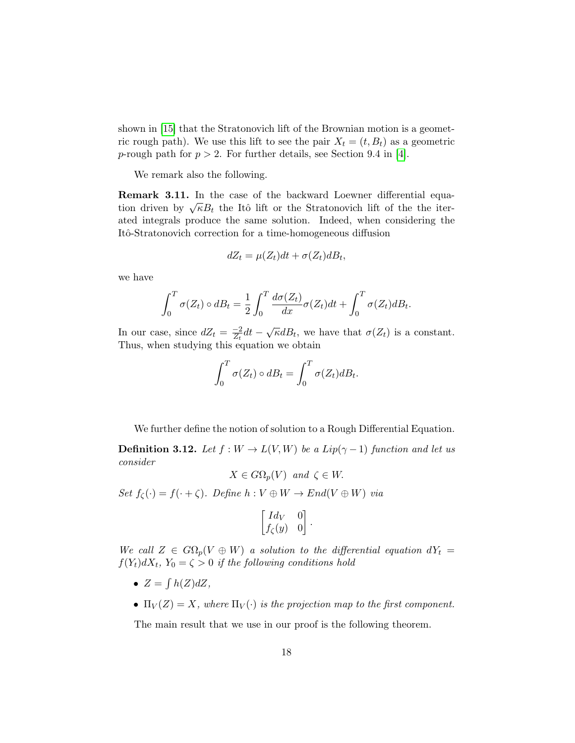shown in [\[15\]](#page-21-6) that the Stratonovich lift of the Brownian motion is a geometric rough path). We use this lift to see the pair  $X_t = (t, B_t)$  as a geometric p-rough path for  $p > 2$ . For further details, see Section 9.4 in [\[4\]](#page-20-8).

We remark also the following.

Remark 3.11. In the case of the backward Loewner differential equa**the Italical K 5.11.** In the case of the backward Loewher differential equation driven by  $\sqrt{\kappa}B_t$  the Itô lift or the Stratonovich lift of the the iterated integrals produce the same solution. Indeed, when considering the Itô-Stratonovich correction for a time-homogeneous diffusion

$$
dZ_t = \mu(Z_t)dt + \sigma(Z_t)dB_t,
$$

we have

$$
\int_0^T \sigma(Z_t) \circ dB_t = \frac{1}{2} \int_0^T \frac{d\sigma(Z_t)}{dx} \sigma(Z_t) dt + \int_0^T \sigma(Z_t) dB_t.
$$

In our case, since  $dZ_t = \frac{-2}{Z_t}$  $\frac{-2}{Z_t}dt - \sqrt{\kappa}dB_t$ , we have that  $\sigma(Z_t)$  is a constant. Thus, when studying this equation we obtain

$$
\int_0^T \sigma(Z_t) \circ dB_t = \int_0^T \sigma(Z_t) dB_t.
$$

We further define the notion of solution to a Rough Differential Equation.

<span id="page-17-0"></span>**Definition 3.12.** Let  $f : W \to L(V, W)$  be a Lip( $\gamma - 1$ ) function and let us consider

 $X \in G\Omega_p(V)$  and  $\zeta \in W$ .

Set  $f_{\zeta}(\cdot) = f(\cdot + \zeta)$ . Define  $h: V \oplus W \rightarrow End(V \oplus W)$  via

$$
\begin{bmatrix} Id_V & 0 \\ f_\zeta(y) & 0 \end{bmatrix}.
$$

We call  $Z \in G\Omega_p(V \oplus W)$  a solution to the differential equation  $dY_t =$  $f(Y_t)dX_t$ ,  $Y_0 = \zeta > 0$  if the following conditions hold

- $Z = \int h(Z) dZ$ ,
- $\Pi_V(Z) = X$ , where  $\Pi_V(\cdot)$  is the projection map to the first component.

The main result that we use in our proof is the following theorem.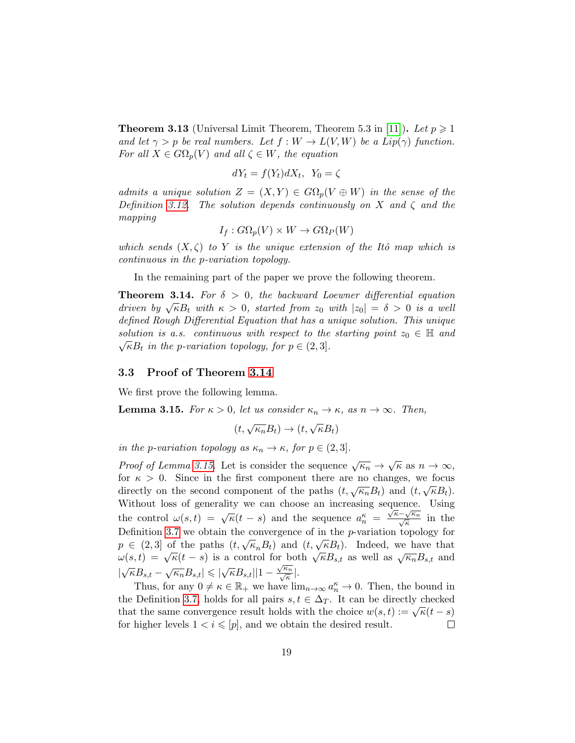<span id="page-18-2"></span>**Theorem 3.13** (Universal Limit Theorem, Theorem 5.3 in [\[11\]](#page-21-5)). Let  $p \geq 1$ and let  $\gamma > p$  be real numbers. Let  $f : W \to L(V, W)$  be a Lip( $\gamma$ ) function. For all  $X \in G\Omega_p(V)$  and all  $\zeta \in W$ , the equation

$$
dY_t = f(Y_t)dX_t, \ Y_0 = \zeta
$$

admits a unique solution  $Z = (X, Y) \in G\Omega_p(V \oplus W)$  in the sense of the Definition [3.12.](#page-17-0) The solution depends continuously on X and  $\zeta$  and the mapping

$$
I_f: G\Omega_p(V) \times W \to G\Omega_P(W)
$$

which sends  $(X, \zeta)$  to Y is the unique extension of the Itô map which is continuous in the p-variation topology.

In the remaining part of the paper we prove the following theorem.

<span id="page-18-0"></span>**Theorem 3.14.** For  $\delta > 0$ , the backward Loewner differential equation driven by  $\sqrt{\kappa}B_t$  with  $\kappa > 0$ , started from  $z_0$  with  $|z_0| = \delta > 0$  is a well defined Rough Differential Equation that has a unique solution. This unique solution is a.s. continuous with respect to the starting point  $z_0 \in \mathbb{H}$  and  $\sqrt{\kappa}B_t$  in the p-variation topology, for  $p \in (2,3]$ .

#### 3.3 Proof of Theorem [3.14](#page-18-0)

We first prove the following lemma.

<span id="page-18-1"></span>**Lemma 3.15.** For  $\kappa > 0$ , let us consider  $\kappa_n \to \kappa$ , as  $n \to \infty$ . Then,

$$
(t, \sqrt{\kappa_n}B_t) \to (t, \sqrt{\kappa}B_t)
$$

in the p-variation topology as  $\kappa_n \to \kappa$ , for  $p \in (2,3]$ .

*Proof of Lemma [3.15.](#page-18-1)* Let is consider the sequence  $\sqrt{\kappa_n} \to \sqrt{\kappa}$  as  $n \to \infty$ , for  $\kappa > 0$ . Since in the first component there are no changes, we focus directly on the second component of the paths  $(t, \sqrt{\kappa_n}B_t)$  and  $(t, \sqrt{\kappa}B_t)$ . Without loss of generality we can choose an increasing sequence. Using while the control  $\omega(s,t) = \sqrt{\kappa(t-s)}$  and the sequence  $a_n^{\kappa} = \frac{\sqrt{\kappa - \sqrt{k_n}}}{\sqrt{\kappa}}$  $\frac{\sqrt{\kappa_n}}{\kappa}$  in the Definition [3.7](#page-15-0) we obtain the convergence of in the  $p$ -variation topology for Definition 3.7 we obtain the convergence of in the *p*-variation topology for  $p \in (2,3]$  of the paths  $(t, \sqrt{\kappa_n}B_t)$  and  $(t, \sqrt{\kappa}B_t)$ . Indeed, we have that  $\omega(s,t) = \sqrt{\kappa(t-s)}$  is a control for both  $\sqrt{\kappa}B_{s,t}$  as well as  $\sqrt{\kappa_n}B_{s,t}$  and  $|\sqrt{\kappa}B_{s,t} - \sqrt{\kappa_n}B_{s,t}| \leq |\sqrt{\kappa}B_{s,t}| |1 - \frac{\sqrt{\kappa_n}}{\sqrt{\kappa}}|$  $\frac{\epsilon_n}{\kappa}|.$ 

Thus, for any  $0 \neq \kappa \in \mathbb{R}_+$  we have  $\lim_{n\to\infty} a_n^{\kappa} \to 0$ . Then, the bound in the Definition [3.7,](#page-15-0) holds for all pairs  $s, t \in \Delta_T$ . It can be directly checked that the same convergence result holds with the choice  $w(s,t) := \sqrt{\kappa(t-s)}$ for higher levels  $1 < i \leqslant [p]$ , and we obtain the desired result.  $\Box$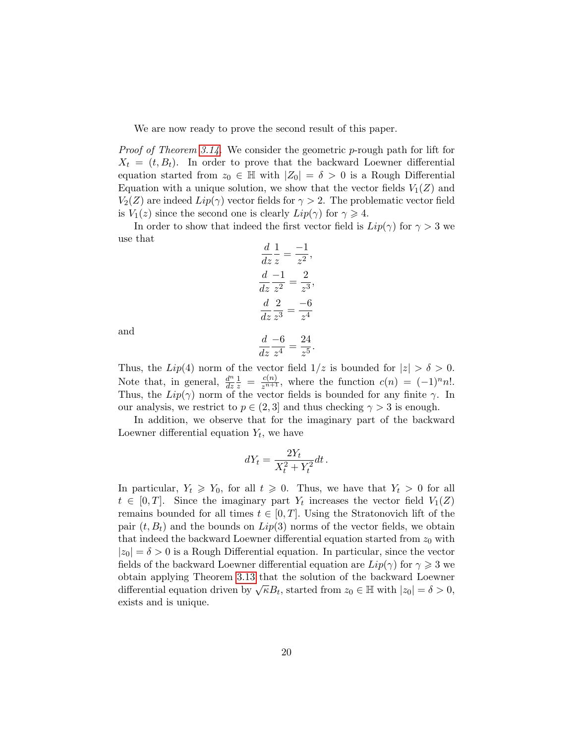We are now ready to prove the second result of this paper.

*Proof of Theorem [3.14.](#page-18-0)* We consider the geometric p-rough path for lift for  $X_t = (t, B_t)$ . In order to prove that the backward Loewner differential equation started from  $z_0 \in \mathbb{H}$  with  $|Z_0| = \delta > 0$  is a Rough Differential Equation with a unique solution, we show that the vector fields  $V_1(Z)$  and  $V_2(Z)$  are indeed  $Lip(\gamma)$  vector fields for  $\gamma > 2$ . The problematic vector field is  $V_1(z)$  since the second one is clearly  $Lip(\gamma)$  for  $\gamma \geq 4$ .

In order to show that indeed the first vector field is  $Lip(\gamma)$  for  $\gamma > 3$  we use that

$$
\frac{d}{dz}\frac{1}{z} = \frac{-1}{z^2},
$$
  
\n
$$
\frac{d}{dz}\frac{-1}{z^2} = \frac{2}{z^3},
$$
  
\n
$$
\frac{d}{dz}\frac{2}{z^3} = \frac{-6}{z^4}
$$
  
\n
$$
\frac{d}{dz}\frac{-6}{z^4} = \frac{24}{z^5}.
$$

and

$$
\frac{d}{dz}\frac{-6}{z^4} = \frac{24}{z^5}
$$

Thus, the Lip(4) norm of the vector field  $1/z$  is bounded for  $|z| > \delta > 0$ . Note that, in general,  $\frac{d^n}{dx^n}$ dz  $\frac{1}{z} = \frac{c(n)}{z^{n+1}}$ , where the function  $c(n) = (-1)^n n!$ . Thus, the  $Lip(\gamma)$  norm of the vector fields is bounded for any finite  $\gamma$ . In our analysis, we restrict to  $p \in (2,3]$  and thus checking  $\gamma > 3$  is enough.

In addition, we observe that for the imaginary part of the backward Loewner differential equation  $Y_t$ , we have

$$
dY_t = \frac{2Y_t}{X_t^2 + Y_t^2} dt.
$$

In particular,  $Y_t \geq Y_0$ , for all  $t \geq 0$ . Thus, we have that  $Y_t > 0$  for all  $t \in [0,T]$ . Since the imaginary part  $Y_t$  increases the vector field  $V_1(Z)$ remains bounded for all times  $t \in [0, T]$ . Using the Stratonovich lift of the pair  $(t, B_t)$  and the bounds on  $Lip(3)$  norms of the vector fields, we obtain that indeed the backward Loewner differential equation started from  $z_0$  with  $|z_0| = \delta > 0$  is a Rough Differential equation. In particular, since the vector fields of the backward Loewner differential equation are  $Lip(\gamma)$  for  $\gamma \geq 3$  we obtain applying Theorem [3.13](#page-18-2) that the solution of the backward Loewner differential equation driven by  $\sqrt{\kappa}B_t$ , started from  $z_0 \in \mathbb{H}$  with  $|z_0| = \delta > 0$ , exists and is unique.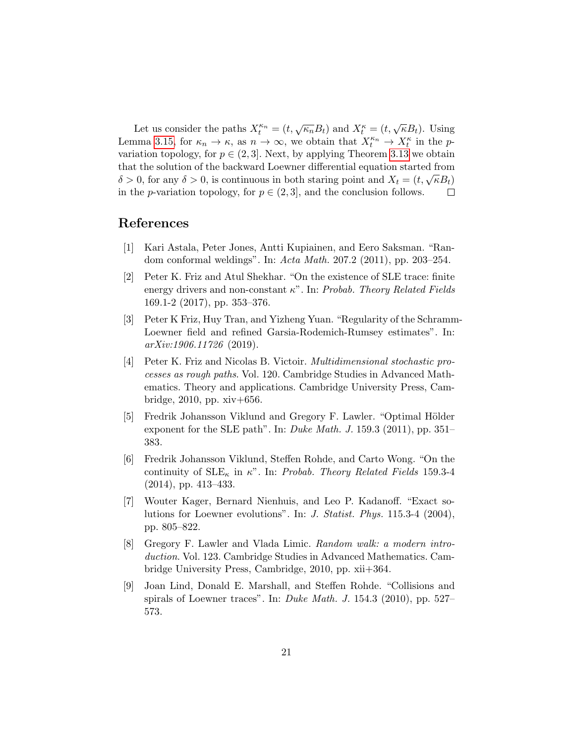Let us consider the paths  $X_t^{\kappa_n} = (t, \sqrt{\kappa_n}B_t)$  and  $X_t^{\kappa} = (t, \sqrt{\kappa}B_t)$ . Using Lemma [3.15,](#page-18-1) for  $\kappa_n \to \kappa$ , as  $n \to \infty$ , we obtain that  $X_t^{\kappa_n} \to X_t^{\kappa}$  in the pvariation topology, for  $p \in (2, 3]$ . Next, by applying Theorem [3.13](#page-18-2) we obtain that the solution of the backward Loewner differential equation started from  $\delta > 0$ , for any  $\delta > 0$ , is continuous in both staring point and  $X_t = (t, \sqrt{\kappa}B_t)$ in the *p*-variation topology, for  $p \in (2, 3]$ , and the conclusion follows. □

# References

- <span id="page-20-2"></span>[1] Kari Astala, Peter Jones, Antti Kupiainen, and Eero Saksman. "Random conformal weldings". In: Acta Math. 207.2 (2011), pp. 203–254.
- <span id="page-20-1"></span>[2] Peter K. Friz and Atul Shekhar. "On the existence of SLE trace: finite energy drivers and non-constant  $\kappa$ ". In: Probab. Theory Related Fields 169.1-2 (2017), pp. 353–376.
- <span id="page-20-4"></span>[3] Peter K Friz, Huy Tran, and Yizheng Yuan. "Regularity of the Schramm-Loewner field and refined Garsia-Rodemich-Rumsey estimates". In: arXiv:1906.11726 (2019).
- <span id="page-20-8"></span>[4] Peter K. Friz and Nicolas B. Victoir. Multidimensional stochastic processes as rough paths. Vol. 120. Cambridge Studies in Advanced Mathematics. Theory and applications. Cambridge University Press, Cambridge, 2010, pp. xiv+656.
- <span id="page-20-6"></span>[5] Fredrik Johansson Viklund and Gregory F. Lawler. "Optimal Hölder exponent for the SLE path". In: Duke Math. J. 159.3 (2011), pp. 351– 383.
- <span id="page-20-3"></span>[6] Fredrik Johansson Viklund, Steffen Rohde, and Carto Wong. "On the continuity of  $SLE_{\kappa}$  in  $\kappa$ ". In: Probab. Theory Related Fields 159.3-4 (2014), pp. 413–433.
- <span id="page-20-5"></span>[7] Wouter Kager, Bernard Nienhuis, and Leo P. Kadanoff. "Exact solutions for Loewner evolutions". In: J. Statist. Phys. 115.3-4 (2004), pp. 805–822.
- <span id="page-20-7"></span>[8] Gregory F. Lawler and Vlada Limic. Random walk: a modern introduction. Vol. 123. Cambridge Studies in Advanced Mathematics. Cambridge University Press, Cambridge, 2010, pp. xii+364.
- <span id="page-20-0"></span>[9] Joan Lind, Donald E. Marshall, and Steffen Rohde. "Collisions and spirals of Loewner traces". In: Duke Math. J. 154.3 (2010), pp. 527– 573.